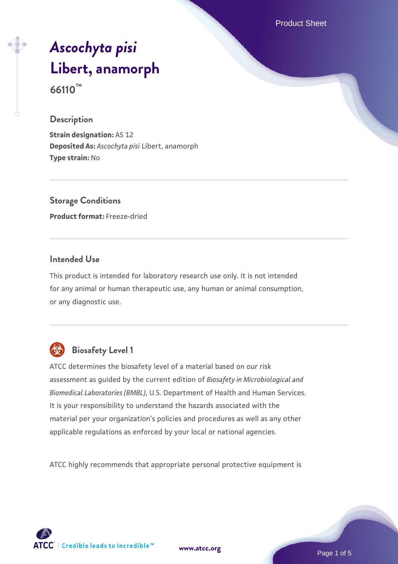Product Sheet

# *[Ascochyta pisi](https://www.atcc.org/products/66110)* **[Libert, anamorph](https://www.atcc.org/products/66110) 66110™**

#### **Description**

**Strain designation:** AS 12 **Deposited As:** *Ascochyta pisi* Libert, anamorph **Type strain:** No

**Storage Conditions Product format:** Freeze-dried

#### **Intended Use**

This product is intended for laboratory research use only. It is not intended for any animal or human therapeutic use, any human or animal consumption, or any diagnostic use.



### **Biosafety Level 1**

ATCC determines the biosafety level of a material based on our risk assessment as guided by the current edition of *Biosafety in Microbiological and Biomedical Laboratories (BMBL)*, U.S. Department of Health and Human Services. It is your responsibility to understand the hazards associated with the material per your organization's policies and procedures as well as any other applicable regulations as enforced by your local or national agencies.

ATCC highly recommends that appropriate personal protective equipment is

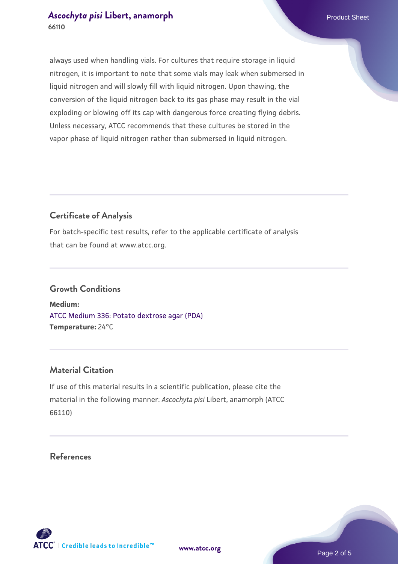always used when handling vials. For cultures that require storage in liquid nitrogen, it is important to note that some vials may leak when submersed in liquid nitrogen and will slowly fill with liquid nitrogen. Upon thawing, the conversion of the liquid nitrogen back to its gas phase may result in the vial exploding or blowing off its cap with dangerous force creating flying debris. Unless necessary, ATCC recommends that these cultures be stored in the vapor phase of liquid nitrogen rather than submersed in liquid nitrogen.

#### **Certificate of Analysis**

For batch-specific test results, refer to the applicable certificate of analysis that can be found at www.atcc.org.

#### **Growth Conditions**

**Medium:**  [ATCC Medium 336: Potato dextrose agar \(PDA\)](https://www.atcc.org/-/media/product-assets/documents/microbial-media-formulations/3/3/6/atcc-medium-336.pdf?rev=d9160ad44d934cd8b65175461abbf3b9) **Temperature:** 24°C

#### **Material Citation**

If use of this material results in a scientific publication, please cite the material in the following manner: *Ascochyta pisi* Libert, anamorph (ATCC 66110)

#### **References**



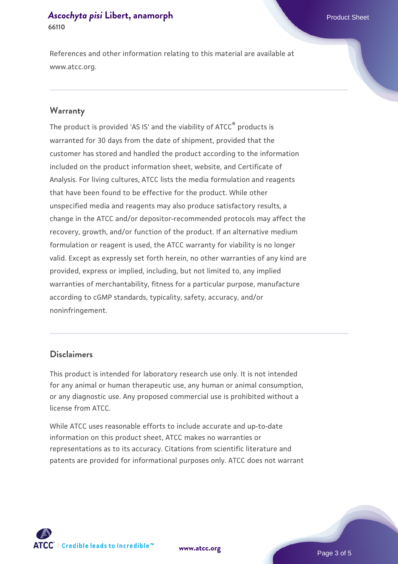References and other information relating to this material are available at www.atcc.org.

#### **Warranty**

The product is provided 'AS IS' and the viability of ATCC® products is warranted for 30 days from the date of shipment, provided that the customer has stored and handled the product according to the information included on the product information sheet, website, and Certificate of Analysis. For living cultures, ATCC lists the media formulation and reagents that have been found to be effective for the product. While other unspecified media and reagents may also produce satisfactory results, a change in the ATCC and/or depositor-recommended protocols may affect the recovery, growth, and/or function of the product. If an alternative medium formulation or reagent is used, the ATCC warranty for viability is no longer valid. Except as expressly set forth herein, no other warranties of any kind are provided, express or implied, including, but not limited to, any implied warranties of merchantability, fitness for a particular purpose, manufacture according to cGMP standards, typicality, safety, accuracy, and/or noninfringement.

#### **Disclaimers**

This product is intended for laboratory research use only. It is not intended for any animal or human therapeutic use, any human or animal consumption, or any diagnostic use. Any proposed commercial use is prohibited without a license from ATCC.

While ATCC uses reasonable efforts to include accurate and up-to-date information on this product sheet, ATCC makes no warranties or representations as to its accuracy. Citations from scientific literature and patents are provided for informational purposes only. ATCC does not warrant

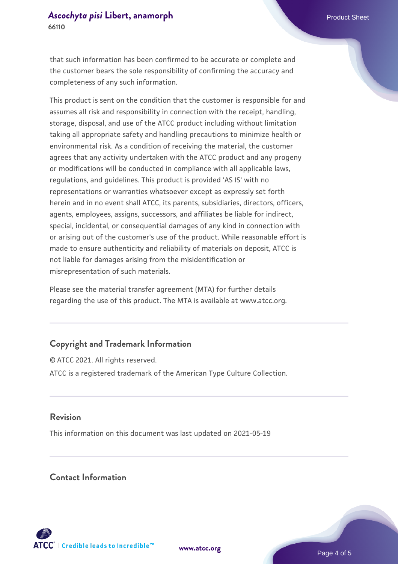that such information has been confirmed to be accurate or complete and the customer bears the sole responsibility of confirming the accuracy and completeness of any such information.

This product is sent on the condition that the customer is responsible for and assumes all risk and responsibility in connection with the receipt, handling, storage, disposal, and use of the ATCC product including without limitation taking all appropriate safety and handling precautions to minimize health or environmental risk. As a condition of receiving the material, the customer agrees that any activity undertaken with the ATCC product and any progeny or modifications will be conducted in compliance with all applicable laws, regulations, and guidelines. This product is provided 'AS IS' with no representations or warranties whatsoever except as expressly set forth herein and in no event shall ATCC, its parents, subsidiaries, directors, officers, agents, employees, assigns, successors, and affiliates be liable for indirect, special, incidental, or consequential damages of any kind in connection with or arising out of the customer's use of the product. While reasonable effort is made to ensure authenticity and reliability of materials on deposit, ATCC is not liable for damages arising from the misidentification or misrepresentation of such materials.

Please see the material transfer agreement (MTA) for further details regarding the use of this product. The MTA is available at www.atcc.org.

#### **Copyright and Trademark Information**

© ATCC 2021. All rights reserved. ATCC is a registered trademark of the American Type Culture Collection.

#### **Revision**

This information on this document was last updated on 2021-05-19

#### **Contact Information**



**[www.atcc.org](http://www.atcc.org)**